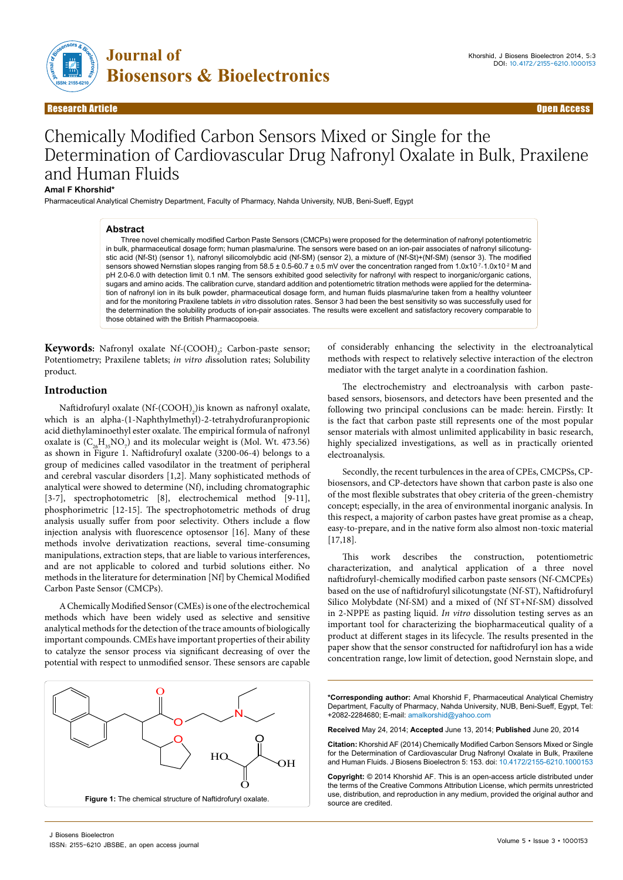

# Chemically Modified Carbon Sensors Mixed or Single for the Determination of Cardiovascular Drug Nafronyl Oxalate in Bulk, Praxilene and Human Fluids

#### **Amal F Khorshid\***

Pharmaceutical Analytical Chemistry Department, Faculty of Pharmacy, Nahda University, NUB, Beni-Sueff, Egypt

#### **Abstract**

Three novel chemically modified Carbon Paste Sensors (CMCPs) were proposed for the determination of nafronyl potentiometric in bulk, pharmaceutical dosage form; human plasma/urine. The sensors were based on an ion-pair associates of nafronyl silicotungstic acid (Nf-St) (sensor 1), nafronyl silicomolybdic acid (Nf-SM) (sensor 2), a mixture of (Nf-St)+(Nf-SM) (sensor 3). The modified sensors showed Nernstian slopes ranging from 58.5 ± 0.5-60.7 ± 0.5 mV over the concentration ranged from 1.0x10<sup>-7</sup>-1.0x10<sup>-2</sup> M and pH 2.0-6.0 with detection limit 0.1 nM. The sensors exhibited good selectivity for nafronyl with respect to inorganic/organic cations, sugars and amino acids. The calibration curve, standard addition and potentiometric titration methods were applied for the determination of nafronyl ion in its bulk powder, pharmaceutical dosage form, and human fluids plasma/urine taken from a healthy volunteer and for the monitoring Praxilene tablets *in vitro* dissolution rates. Sensor 3 had been the best sensitivity so was successfully used for the determination the solubility products of ion-pair associates. The results were excellent and satisfactory recovery comparable to those obtained with the British Pharmacopoeia.

**Keywords:** Nafronyl oxalate Nf-(COOH)<sub>2</sub>; Carbon-paste sensor; Potentiometry; Praxilene tablets; *in vitro d*issolution rates; Solubility product.

# **Introduction**

Naftidrofuryl oxalate (Nf-(COOH)<sub>2</sub>)is known as nafronyl oxalate, which is an alpha-(1-Naphthylmethyl)-2-tetrahydrofuranpropionic acid diethylaminoethyl ester oxalate. The empirical formula of nafronyl oxalate is  $(C_{26}H_{35}NO_{7})$  and its molecular weight is (Mol. Wt. 473.56) as shown in Figure 1. Naftidrofuryl oxalate (3200-06-4) belongs to a group of medicines called vasodilator in the treatment of peripheral and cerebral vascular disorders [1,2]. Many sophisticated methods of analytical were showed to determine (Nf), including chromatographic [3-7], spectrophotometric [8], electrochemical method [9-11], phosphorimetric [12-15]. The spectrophotometric methods of drug analysis usually suffer from poor selectivity. Others include a flow injection analysis with fluorescence optosensor [16]. Many of these methods involve derivatization reactions, several time-consuming manipulations, extraction steps, that are liable to various interferences, and are not applicable to colored and turbid solutions either. No methods in the literature for determination [Nf] by Chemical Modified Carbon Paste Sensor (CMCPs).

A Chemically Modified Sensor (CMEs) is one of the electrochemical methods which have been widely used as selective and sensitive analytical methods for the detection of the trace amounts of biologically important compounds. CMEs have important properties of their ability to catalyze the sensor process via significant decreasing of over the potential with respect to unmodified sensor. These sensors are capable



of considerably enhancing the selectivity in the electroanalytical methods with respect to relatively selective interaction of the electron mediator with the target analyte in a coordination fashion.

The electrochemistry and electroanalysis with carbon pastebased sensors, biosensors, and detectors have been presented and the following two principal conclusions can be made: herein. Firstly: It is the fact that carbon paste still represents one of the most popular sensor materials with almost unlimited applicability in basic research, highly specialized investigations, as well as in practically oriented electroanalysis.

Secondly, the recent turbulences in the area of CPEs, CMCPSs, CPbiosensors, and CP-detectors have shown that carbon paste is also one of the most flexible substrates that obey criteria of the green-chemistry concept; especially, in the area of environmental inorganic analysis. In this respect, a majority of carbon pastes have great promise as a cheap, easy-to-prepare, and in the native form also almost non-toxic material [17,18].

This work describes the construction, potentiometric characterization, and analytical application of a three novel naftidrofuryl-chemically modified carbon paste sensors (Nf-CMCPEs) based on the use of naftidrofuryl silicotungstate (Nf-ST), Naftidrofuryl Silico Molybdate (Nf-SM) and a mixed of (Nf ST+Nf-SM) dissolved in 2-NPPE as pasting liquid. *In vitro* dissolution testing serves as an important tool for characterizing the biopharmaceutical quality of a product at different stages in its lifecycle. The results presented in the paper show that the sensor constructed for naftidrofuryl ion has a wide concentration range, low limit of detection, good Nernstain slope, and

**\*Corresponding author:** Amal Khorshid F, Pharmaceutical Analytical Chemistry Department, Faculty of Pharmacy, Nahda University, NUB, Beni-Sueff, Egypt, Tel: +2082-2284680; E-mail: [amalkorshid@yahoo.com](mailto:amalkorshid@yahoo.com)

**Received** May 24, 2014; **Accepted** June 13, 2014; **Published** June 20, 2014

**Citation:** Khorshid AF (2014) Chemically Modified Carbon Sensors Mixed or Single for the Determination of Cardiovascular Drug Nafronyl Oxalate in Bulk, Praxilene and Human Fluids. J Biosens Bioelectron 5: 153. doi: 10.4172/2155-6210.1000153

**Copyright:** © 2014 Khorshid AF. This is an open-access article distributed under the terms of the Creative Commons Attribution License, which permits unrestricted use, distribution, and reproduction in any medium, provided the original author and source are credited.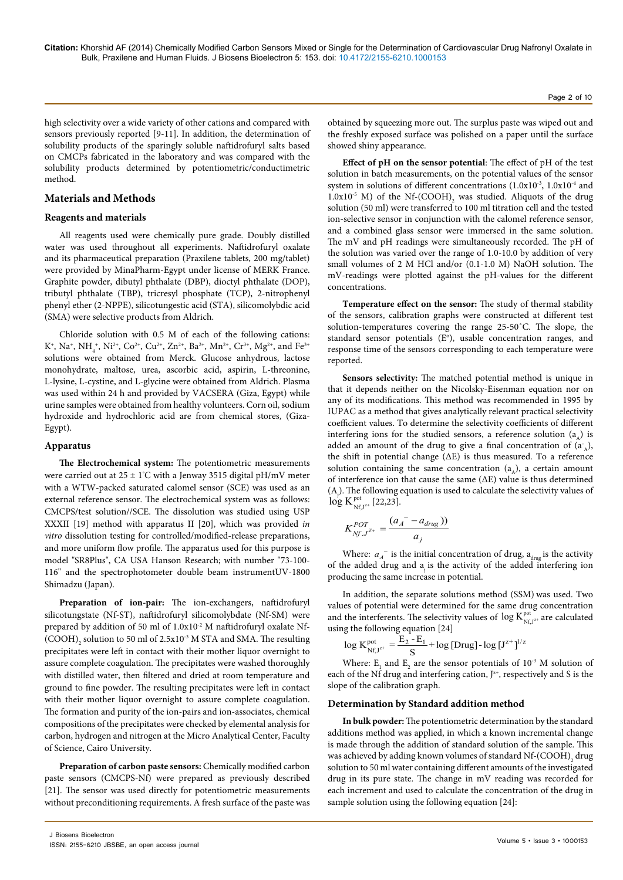high selectivity over a wide variety of other cations and compared with sensors previously reported [9-11]. In addition, the determination of solubility products of the sparingly soluble naftidrofuryl salts based on CMCPs fabricated in the laboratory and was compared with the solubility products determined by potentiometric/conductimetric method.

## **Materials and Methods**

## **Reagents and materials**

All reagents used were chemically pure grade. Doubly distilled water was used throughout all experiments. Naftidrofuryl oxalate and its pharmaceutical preparation (Praxilene tablets, 200 mg/tablet) were provided by MinaPharm-Egypt under license of MERK France. Graphite powder, dibutyl phthalate (DBP), dioctyl phthalate (DOP), tributyl phthalate (TBP), tricresyl phosphate (TCP), 2-nitrophenyl phenyl ether (2-NPPE), silicotungestic acid (STA), silicomolybdic acid (SMA) were selective products from Aldrich.

Chloride solution with 0.5 M of each of the following cations:  $K^*$ , Na<sup>+</sup>, NH<sub>4</sub><sup>+</sup>, Ni<sup>2+</sup>, Co<sup>2+</sup>, Cu<sup>2+</sup>, Zn<sup>2+</sup>, Ba<sup>2+</sup>, Mn<sup>2+</sup>, Cr<sup>3+</sup>, Mg<sup>2+</sup>, and Fe<sup>3+</sup> solutions were obtained from Merck. Glucose anhydrous, lactose monohydrate, maltose, urea, ascorbic acid, aspirin, L-threonine, L-lysine, L-cystine, and L-glycine were obtained from Aldrich. Plasma was used within 24 h and provided by VACSERA (Giza, Egypt) while urine samples were obtained from healthy volunteers. Corn oil, sodium hydroxide and hydrochloric acid are from chemical stores, (Giza-Egypt).

#### **Apparatus**

**The Electrochemical system:** The potentiometric measurements were carried out at 25 ± 1° C with a Jenway 3515 digital pH/mV meter with a WTW-packed saturated calomel sensor (SCE) was used as an external reference sensor. The electrochemical system was as follows: CMCPS/test solution//SCE. The dissolution was studied using USP XXXII [19] method with apparatus II [20], which was provided *in vitro* dissolution testing for controlled/modified-release preparations, and more uniform flow profile. The apparatus used for this purpose is model "SR8Plus", CA USA Hanson Research; with number "73-100- 116" and the spectrophotometer double beam instrumentUV-1800 Shimadzu (Japan).

**Preparation of ion-pair:** The ion-exchangers, naftidrofuryl silicotungstate (Nf-ST), naftidrofuryl silicomolybdate (Nf-SM) were prepared by addition of 50 ml of 1.0x10-2 M naftidrofuryl oxalate Nf-  ${\rm (COOH)}_{\rm 2}$  solution to 50 ml of 2.5x10 $^{\rm 3}$  M STA and SMA. The resulting precipitates were left in contact with their mother liquor overnight to assure complete coagulation. The precipitates were washed thoroughly with distilled water, then filtered and dried at room temperature and ground to fine powder. The resulting precipitates were left in contact with their mother liquor overnight to assure complete coagulation. The formation and purity of the ion-pairs and ion-associates, chemical compositions of the precipitates were checked by elemental analysis for carbon, hydrogen and nitrogen at the Micro Analytical Center, Faculty of Science, Cairo University.

**Preparation of carbon paste sensors:** Chemically modified carbon paste sensors (CMCPS-Nf) were prepared as previously described [21]. The sensor was used directly for potentiometric measurements without preconditioning requirements. A fresh surface of the paste was

obtained by squeezing more out. The surplus paste was wiped out and the freshly exposed surface was polished on a paper until the surface showed shiny appearance.

**Effect of pH on the sensor potential**: The effect of pH of the test solution in batch measurements, on the potential values of the sensor system in solutions of different concentrations (1.0x10<sup>-3</sup>, 1.0x10<sup>-4</sup> and  $1.0x10^{-5}$  M) of the Nf-(COOH)<sub>2</sub> was studied. Aliquots of the drug solution (50 ml) were transferred to 100 ml titration cell and the tested ion-selective sensor in conjunction with the calomel reference sensor, and a combined glass sensor were immersed in the same solution. The mV and pH readings were simultaneously recorded. The pH of the solution was varied over the range of 1.0-10.0 by addition of very small volumes of 2 M HCl and/or (0.1-1.0 M) NaOH solution. The mV-readings were plotted against the pH-values for the different concentrations.

**Temperature effect on the sensor:** The study of thermal stability of the sensors, calibration graphs were constructed at different test solution-temperatures covering the range 25-50˚C. The slope, the standard sensor potentials (E°), usable concentration ranges, and response time of the sensors corresponding to each temperature were reported.

**Sensors selectivity:** The matched potential method is unique in that it depends neither on the Nicolsky-Eisenman equation nor on any of its modifications. This method was recommended in 1995 by IUPAC as a method that gives analytically relevant practical selectivity coefficient values. To determine the selectivity coefficients of different interfering ions for the studied sensors, a reference solution  $(a_1)$  is added an amount of the drug to give a final concentration of  $(a_{A}^{\dagger})$ , the shift in potential change (ΔΕ) is thus measured. To a reference solution containing the same concentration  $(a_1)$ , a certain amount of interference ion that cause the same  $(\Delta E)$  value is thus determined (Aj ). The following equation is used to calculate the selectivity values of  $\log K_{\rm Nf, J^{z+}}^{\rm pot}$  [22,23].

$$
K_{Nf,J^{Z+}}^{POT} = \frac{(a_A^{\ -} - a_{drug}))}{a_j}
$$

Where:  $a_A$ <sup>-</sup> is the initial concentration of drug,  $a_{\text{drive}}$  is the activity of the added drug and a is the activity of the added interfering ion producing the same increase in potential.

In addition, the separate solutions method (SSM) was used. Two values of potential were determined for the same drug concentration and the interferents. The selectivity values of  $\log K_{Nf, J^{z+}}^{pot}$  are calculated using the following equation [24]

$$
\log K^{\text{pot}}_{Nf,J^{z^*}} = \frac{E_2 - E_1}{S} + \log \left[ Drug \right] - \log \left[ J^{z^+} \right]^{1/z}
$$

Where:  $E_1$  and  $E_2$  are the sensor potentials of 10<sup>-3</sup> M solution of each of the Nf drug and interfering cation,  $J^{z+}$ , respectively and S is the slope of the calibration graph.

#### **Determination by Standard addition method**

**In bulk powder:** The potentiometric determination by the standard additions method was applied, in which a known incremental change is made through the addition of standard solution of the sample. This was achieved by adding known volumes of standard Nf-(COOH) $_{\rm _2}$  drug solution to 50 ml water containing different amounts of the investigated drug in its pure state. The change in mV reading was recorded for each increment and used to calculate the concentration of the drug in sample solution using the following equation [24]: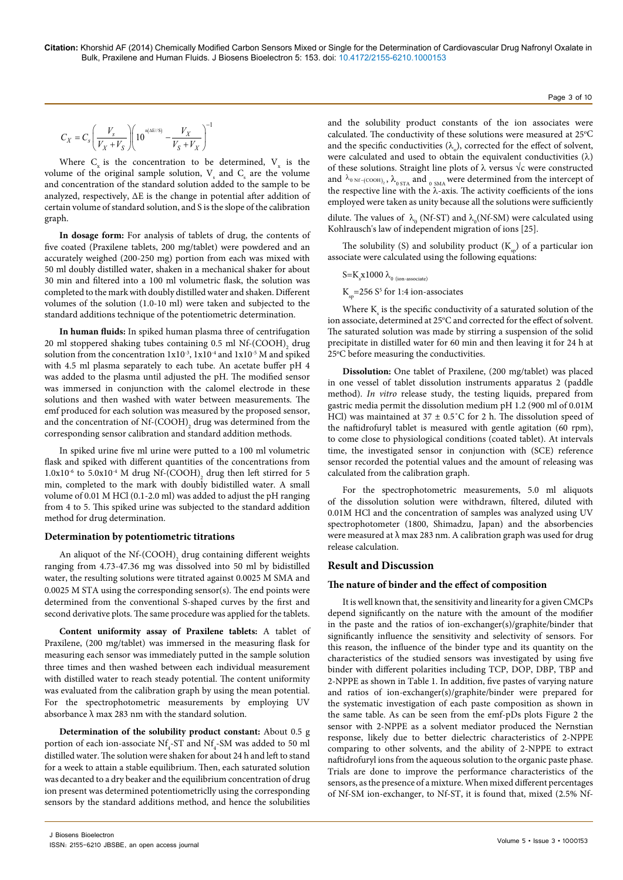$$
C_X = C_s \left(\frac{V_s}{V_X + V_S}\right) \left(10^{n(\text{ME}/S)} - \frac{V_X}{V_S + V_X}\right)^{-1}
$$

Where  $C_x$  is the concentration to be determined,  $V_x$  is the volume of the original sample solution,  $V_s$  and  $C_s$  are the volume and concentration of the standard solution added to the sample to be analyzed, respectively, ΔΕ is the change in potential after addition of certain volume of standard solution, and S is the slope of the calibration graph.

**In dosage form:** For analysis of tablets of drug, the contents of five coated (Praxilene tablets, 200 mg/tablet) were powdered and an accurately weighed (200-250 mg) portion from each was mixed with 50 ml doubly distilled water, shaken in a mechanical shaker for about 30 min and filtered into a 100 ml volumetric flask, the solution was completed to the mark with doubly distilled water and shaken. Different volumes of the solution (1.0-10 ml) were taken and subjected to the standard additions technique of the potentiometric determination.

**In human fluids:** In spiked human plasma three of centrifugation 20 ml stoppered shaking tubes containing 0.5 ml  $\mathrm{Nf}\text{-}\mathrm{(COOH)}_{2}$  drug solution from the concentration  $1x10^{-3}$ ,  $1x10^{-4}$  and  $1x10^{-5}$  M and spiked with 4.5 ml plasma separately to each tube. An acetate buffer pH 4 was added to the plasma until adjusted the pH. The modified sensor was immersed in conjunction with the calomel electrode in these solutions and then washed with water between measurements. The emf produced for each solution was measured by the proposed sensor, and the concentration of Nf-(COOH)<sub>2</sub> drug was determined from the corresponding sensor calibration and standard addition methods.

In spiked urine five ml urine were putted to a 100 ml volumetric flask and spiked with different quantities of the concentrations from  $1.0x10^{-6}$  to  $5.0x10^{-4}$  M drug Nf-(COOH)<sub>2</sub> drug then left stirred for 5 min, completed to the mark with doubly bidistilled water. A small volume of 0.01 M HCl (0.1-2.0 ml) was added to adjust the pH ranging from 4 to 5. This spiked urine was subjected to the standard addition method for drug determination.

#### **Determination by potentiometric titrations**

An aliquot of the  $\mathrm{Nf}\text{-}\mathrm{(COOH)}_{2}$  drug containing different weights ranging from 4.73-47.36 mg was dissolved into 50 ml by bidistilled water, the resulting solutions were titrated against 0.0025 M SMA and 0.0025 M STA using the corresponding sensor(s). The end points were determined from the conventional S-shaped curves by the first and second derivative plots. The same procedure was applied for the tablets.

**Content uniformity assay of Praxilene tablets:** A tablet of Praxilene, (200 mg/tablet) was immersed in the measuring flask for measuring each sensor was immediately putted in the sample solution three times and then washed between each individual measurement with distilled water to reach steady potential. The content uniformity was evaluated from the calibration graph by using the mean potential. For the spectrophotometric measurements by employing UV absorbance  $\lambda$  max 283 nm with the standard solution.

**Determination of the solubility product constant:** About 0.5 g portion of each ion-associate  $Nf_4$ -ST and  $Nf_4$ -SM was added to 50 ml distilled water. The solution were shaken for about 24 h and left to stand for a week to attain a stable equilibrium. Then, each saturated solution was decanted to a dry beaker and the equilibrium concentration of drug ion present was determined potentiometriclly using the corresponding sensors by the standard additions method, and hence the solubilities

and the solubility product constants of the ion associates were calculated. The conductivity of these solutions were measured at 25°C and the specific conductivities  $(\lambda_0)$ , corrected for the effect of solvent, were calculated and used to obtain the equivalent conductivities  $(\lambda)$ of these solutions. Straight line plots of  $\lambda$  versus  $\sqrt{\lambda}$  were constructed and  $\lambda_{\rm 0\,Nf\text{-}(COOH)}$  ,  $\lambda_{\rm 0\,STA}$  and  $_{\rm 0\, SMA}$  were determined from the intercept of the respective line with the  $\lambda$ -axis. The activity coefficients of the ions employed were taken as unity because all the solutions were sufficiently

dilute. The values of  $\ \lambda_{_0}$  (Nf-ST) and  $\lambda_{_0}$  (Nf-SM) were calculated using Kohlrausch's law of independent migration of ions [25].

The solubility (S) and solubility product  $(K_n)$  of a particular ion associate were calculated using the following equations:

$$
S = K_s x 1000 \lambda_{\text{o (ion-associated)}}
$$

 $K_{sp}$ =256 S<sup>5</sup> for 1:4 ion-associates

Where  $K_s$  is the specific conductivity of a saturated solution of the ion associate, determined at 25°C and corrected for the effect of solvent. The saturated solution was made by stirring a suspension of the solid precipitate in distilled water for 60 min and then leaving it for 24 h at 25°C before measuring the conductivities.

**Dissolution:** One tablet of Praxilene, (200 mg/tablet) was placed in one vessel of tablet dissolution instruments apparatus 2 (paddle method). *In vitro* release study, the testing liquids, prepared from gastric media permit the dissolution medium pH 1.2 (900 ml of 0.01M HCl) was maintained at  $37 \pm 0.5^{\circ}$ C for 2 h. The dissolution speed of the naftidrofuryl tablet is measured with gentle agitation (60 rpm), to come close to physiological conditions (coated tablet). At intervals time, the investigated sensor in conjunction with (SCE) reference sensor recorded the potential values and the amount of releasing was calculated from the calibration graph.

For the spectrophotometric measurements, 5.0 ml aliquots of the dissolution solution were withdrawn, filtered, diluted with 0.01M HCl and the concentration of samples was analyzed using UV spectrophotometer (1800, Shimadzu, Japan) and the absorbencies were measured at  $\lambda$  max 283 nm. A calibration graph was used for drug release calculation.

# **Result and Discussion**

#### **The nature of binder and the effect of composition**

It is well known that, the sensitivity and linearity for a given CMCPs depend significantly on the nature with the amount of the modifier in the paste and the ratios of ion-exchanger(s)/graphite/binder that significantly influence the sensitivity and selectivity of sensors. For this reason, the influence of the binder type and its quantity on the characteristics of the studied sensors was investigated by using five binder with different polarities including TCP, DOP, DBP, TBP and 2-NPPE as shown in Table 1. In addition, five pastes of varying nature and ratios of ion-exchanger(s)/graphite/binder were prepared for the systematic investigation of each paste composition as shown in the same table. As can be seen from the emf-pDs plots Figure 2 the sensor with 2-NPPE as a solvent mediator produced the Nernstian response, likely due to better dielectric characteristics of 2-NPPE comparing to other solvents, and the ability of 2-NPPE to extract naftidrofuryl ions from the aqueous solution to the organic paste phase. Trials are done to improve the performance characteristics of the sensors, as the presence of a mixture. When mixed different percentages of Nf-SM ion-exchanger, to Nf-ST, it is found that, mixed (2.5% Nf-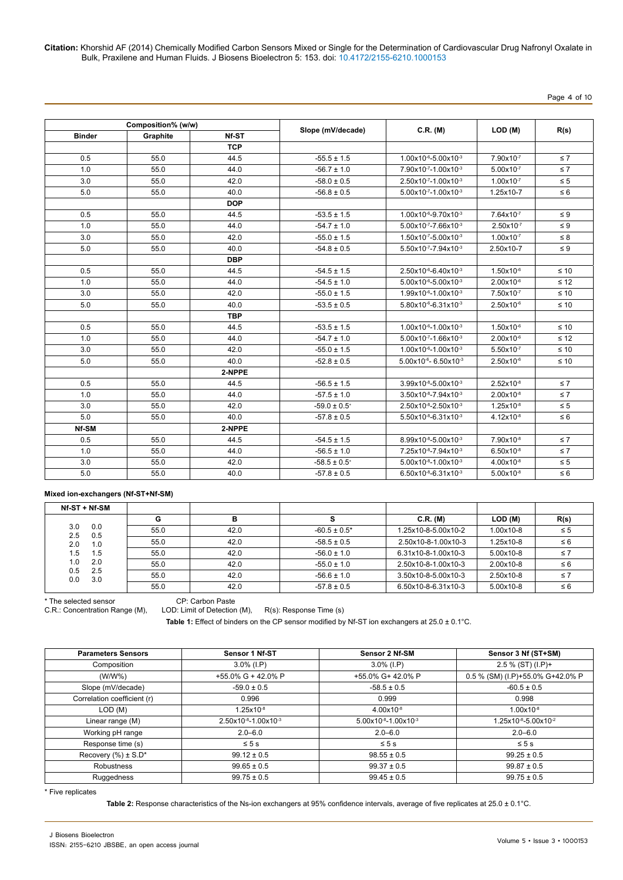# Page 4 of 10

|               | Composition% (w/w) |            |                   |                               |                       |           |
|---------------|--------------------|------------|-------------------|-------------------------------|-----------------------|-----------|
| <b>Binder</b> | Graphite           | Nf-ST      | Slope (mV/decade) | C.R. (M)                      | LOD (M)               | R(s)      |
|               |                    | <b>TCP</b> |                   |                               |                       |           |
| 0.5           | 55.0               | 44.5       | $-55.5 \pm 1.5$   | 1.00x10-6-5.00x10-3           | 7.90x10-7             | $\leq 7$  |
| 1.0           | 55.0               | 44.0       | $-56.7 \pm 1.0$   | 7.90x10-7-1.00x10-3           | $5.00x10^{-7}$        | $\leq 7$  |
| 3.0           | 55.0               | 42.0       | $-58.0 \pm 0.5$   | 2.50x10-7-1.00x10-3           | $1.00x10^{-7}$        | $\leq 5$  |
| 5.0           | 55.0               | 40.0       | $-56.8 \pm 0.5$   | $5.00x10^{-7} - 1.00x10^{-3}$ | 1.25x10-7             | $\leq 6$  |
|               |                    | <b>DOP</b> |                   |                               |                       |           |
| 0.5           | 55.0               | 44.5       | $-53.5 \pm 1.5$   | 1.00x10-6-9.70x10-3           | 7.64x10-7             | $\leq 9$  |
| 1.0           | 55.0               | 44.0       | $-54.7 \pm 1.0$   | 5.00x10-7-7.66x10-3           | $2.50x10^{-7}$        | $\leq 9$  |
| 3.0           | 55.0               | 42.0       | $-55.0 \pm 1.5$   | $1.50x10^{-7} - 5.00x10^{-3}$ | $1.00x10^{-7}$        | $\leq 8$  |
| 5.0           | 55.0               | 40.0       | $-54.8 \pm 0.5$   | 5.50x10-7-7.94x10-3           | 2.50x10-7             | $\leq 9$  |
|               |                    | <b>DBP</b> |                   |                               |                       |           |
| 0.5           | 55.0               | 44.5       | $-54.5 \pm 1.5$   | 2.50x10-6-6.40x10-3           | $1.50x10^{-6}$        | $\leq 10$ |
| 1.0           | 55.0               | 44.0       | $-54.5 \pm 1.0$   | 5.00x10-6-5.00x10-3           | 2.00x10-6             | $\leq 12$ |
| 3.0           | 55.0               | 42.0       | $-55.0 \pm 1.5$   | 1.99x10-6-1.00x10-3           | 7.50x10-7             | $\leq 10$ |
| 5.0           | 55.0               | 40.0       | $-53.5 \pm 0.5$   | 5.80x10-6-6.31x10-3           | $2.50x10^{-6}$        | $\leq 10$ |
|               |                    | <b>TBP</b> |                   |                               |                       |           |
| 0.5           | 55.0               | 44.5       | $-53.5 \pm 1.5$   | 1.00x10-6-1.00x10-3           | 1.50x10-6             | $\leq 10$ |
| 1.0           | 55.0               | 44.0       | $-54.7 \pm 1.0$   | 5.00x10-7-1.66x10-3           | $2.00x10^{-6}$        | $\leq 12$ |
| 3.0           | 55.0               | 42.0       | $-55.0 \pm 1.5$   | 1.00x10-6-1.00x10-3           | $5.50x10^{-7}$        | $\leq 10$ |
| 5.0           | 55.0               | 40.0       | $-52.8 \pm 0.5$   | 5.00x10-6-6.50x10-3           | $2.50x10^{-6}$        | $\leq 10$ |
|               |                    | 2-NPPE     |                   |                               |                       |           |
| 0.5           | 55.0               | 44.5       | $-56.5 \pm 1.5$   | 3.99x10-8-5.00x10-3           | $2.52 \times 10^{-8}$ | $\leq 7$  |
| 1.0           | 55.0               | 44.0       | $-57.5 \pm 1.0$   | $3.50x10^{-8} - 7.94x10^{-3}$ | $2.00x10^{-8}$        | $\leq 7$  |
| 3.0           | 55.0               | 42.0       | $-59.0 \pm 0.5^*$ | 2.50x10-8-2.50x10-3           | $1.25x10^{-8}$        | $\leq 5$  |
| 5.0           | 55.0               | 40.0       | $-57.8 \pm 0.5$   | 5.50x10-8-6.31x10-3           | $4.12x10^{-8}$        | $\leq 6$  |
| Nf-SM         |                    | 2-NPPE     |                   |                               |                       |           |
| 0.5           | 55.0               | 44.5       | $-54.5 \pm 1.5$   | 8.99x10-8-5.00x10-3           | 7.90x10-8             | $\leq 7$  |
| 1.0           | 55.0               | 44.0       | $-56.5 \pm 1.0$   | 7.25x10-8-7.94x10-3           | $6.50x10^{-8}$        | $\leq 7$  |
| 3.0           | 55.0               | 42.0       | $-58.5 \pm 0.5^*$ | 5.00x10-8-1.00x10-3           | $4.00x10^{-8}$        | $\leq 5$  |
| 5.0           | 55.0               | 40.0       | $-57.8 \pm 0.5$   | $6.50x10^{-8} - 6.31x10^{-3}$ | $5.00x10^{-8}$        | $\leq 6$  |

## **Mixed ion-exchangers (Nf-ST+Nf-SM)**

| Nf-ST + Nf-SM            |      |      |                   |                     |           |          |
|--------------------------|------|------|-------------------|---------------------|-----------|----------|
|                          | G    | в    |                   | C.R. (M)            | LOD (M)   | R(s)     |
| 3.0<br>0.0<br>2.5<br>0.5 | 55.0 | 42.0 | $-60.5 \pm 0.5^*$ | 1.25x10-8-5.00x10-2 | 1.00x10-8 | $\leq 5$ |
| 2.0<br>1.0               | 55.0 | 42.0 | $-58.5 \pm 0.5$   | 2.50x10-8-1.00x10-3 | 1.25x10-8 | $\leq 6$ |
| 1.5<br>1.5               | 55.0 | 42.0 | $-56.0 \pm 1.0$   | 6.31x10-8-1.00x10-3 | 5.00x10-8 | $\leq 7$ |
| 1.0<br>2.0               | 55.0 | 42.0 | $-55.0 \pm 1.0$   | 2.50x10-8-1.00x10-3 | 2.00x10-8 | $\leq 6$ |
| 0.5<br>2.5<br>3.0<br>0.0 | 55.0 | 42.0 | $-56.6 \pm 1.0$   | 3.50x10-8-5.00x10-3 | 2.50x10-8 | $\leq 7$ |
|                          | 55.0 | 42.0 | $-57.8 \pm 0.5$   | 6.50x10-8-6.31x10-3 | 5.00x10-8 | $\leq 6$ |

\* The selected sensor CP: Carbon Paste

LOD: Limit of Detection (M), R(s): Response Time (s)

Table 1: Effect of binders on the CP sensor modified by Nf-ST ion exchangers at 25.0 ± 0.1°C.

| <b>Parameters Sensors</b>   | Sensor 1 Nf-ST                | Sensor 2 Nf-SM                | Sensor 3 Nf (ST+SM)              |
|-----------------------------|-------------------------------|-------------------------------|----------------------------------|
| Composition                 | $3.0\%$ (I.P)                 | $3.0\%$ (I.P)                 | $2.5 \%$ (ST) (I.P)+             |
| $(W/W\%)$                   | +55.0% G + 42.0% P            | +55.0% G+ 42.0% P             | 0.5 % (SM) (I.P)+55.0% G+42.0% P |
| Slope (mV/decade)           | $-59.0 \pm 0.5$               | $-58.5 \pm 0.5$               | $-60.5 \pm 0.5$                  |
| Correlation coefficient (r) | 0.996                         | 0.999                         | 0.998                            |
| LOD (M)                     | $1.25x10^{-8}$                | $4.00 \times 10^{-8}$         | $1.00x10^{-8}$                   |
| Linear range (M)            | $2.50x10^{-8} - 1.00x10^{-3}$ | $5.00x10^{-8} - 1.00x10^{-3}$ | $1.25x10^{-8}-5.00x10^{-2}$      |
| Working pH range            | $2.0 - 6.0$                   | $2.0 - 6.0$                   | $2.0 - 6.0$                      |
| Response time (s)           | $\leq 5$ s                    | $\leq 5$ s                    | $\leq 5$ s                       |
| Recovery $(\% ) \pm S.D^*$  | $99.12 \pm 0.5$               | $98.55 \pm 0.5$               | $99.25 \pm 0.5$                  |
| Robustness                  | $99.65 \pm 0.5$               | $99.37 \pm 0.5$               | $99.87 \pm 0.5$                  |
| Ruggedness                  | $99.75 \pm 0.5$               | $99.45 \pm 0.5$               | $99.75 \pm 0.5$                  |

\* Five replicates

**Table 2:** Response characteristics of the Ns-ion exchangers at 95% confidence intervals, average of five replicates at 25.0 ± 0.1°C.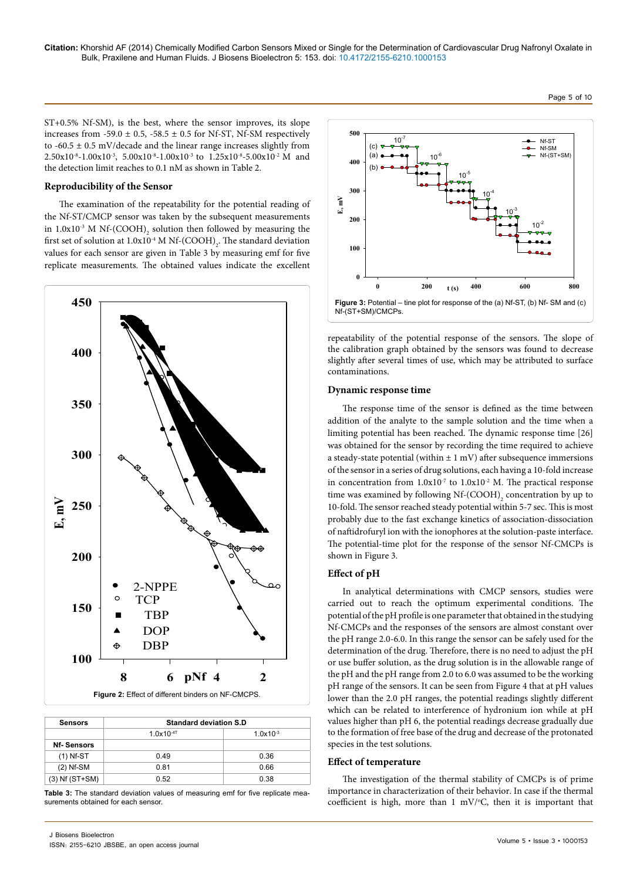ST+0.5% Nf-SM), is the best, where the sensor improves, its slope increases from -59.0  $\pm$  0.5, -58.5  $\pm$  0.5 for Nf-ST, Nf-SM respectively to -60.5  $\pm$  0.5 mV/decade and the linear range increases slightly from  $2.50x10^{-8}-1.00x10^{-3}$ ,  $5.00x10^{-8}-1.00x10^{-3}$  to  $1.25x10^{-8}-5.00x10^{-2}$  M and the detection limit reaches to 0.1 nM as shown in Table 2.

#### **Reproducibility of the Sensor**

The examination of the repeatability for the potential reading of the Nf-ST/CMCP sensor was taken by the subsequent measurements in 1.0x10<sup>-3</sup> M Nf-(COOH)<sub>2</sub> solution then followed by measuring the first set of solution at  $1.0x10^4$  M Nf-(COOH)<sub>2</sub>. The standard deviation values for each sensor are given in Table 3 by measuring emf for five replicate measurements. The obtained values indicate the excellent



| <b>Sensors</b>     | <b>Standard deviation S.D</b> |               |
|--------------------|-------------------------------|---------------|
|                    | $1.0x10^{-4}$                 | $1.0x10^{-3}$ |
| <b>Nf-Sensors</b>  |                               |               |
| $(1)$ Nf-ST        | 0.49                          | 0.36          |
| $(2)$ Nf-SM        | 0.81                          | 0.66          |
| $(3)$ Nf $(ST+SM)$ | 0.52                          | 0.38          |

**Table 3:** The standard deviation values of measuring emf for five replicate measurements obtained for each sensor.



repeatability of the potential response of the sensors. The slope of the calibration graph obtained by the sensors was found to decrease slightly after several times of use, which may be attributed to surface contaminations.

#### **Dynamic response time**

The response time of the sensor is defined as the time between addition of the analyte to the sample solution and the time when a limiting potential has been reached. The dynamic response time [26] was obtained for the sensor by recording the time required to achieve a steady-state potential (within  $\pm 1$  mV) after subsequence immersions of the sensor in a series of drug solutions, each having a 10-fold increase in concentration from  $1.0x10^{-7}$  to  $1.0x10^{-2}$  M. The practical response time was examined by following  $Nf$ - $(COOH)$ <sub>2</sub> concentration by up to 10-fold. The sensor reached steady potential within 5-7 sec. This is most probably due to the fast exchange kinetics of association-dissociation of naftidrofuryl ion with the ionophores at the solution-paste interface. The potential-time plot for the response of the sensor Nf-CMCPs is shown in Figure 3.

#### **Effect of pH**

In analytical determinations with CMCP sensors, studies were carried out to reach the optimum experimental conditions. The potential of the pH profile is one parameter that obtained in the studying Nf-CMCPs and the responses of the sensors are almost constant over the pH range 2.0-6.0. In this range the sensor can be safely used for the determination of the drug. Therefore, there is no need to adjust the pH or use buffer solution, as the drug solution is in the allowable range of the pH and the pH range from 2.0 to 6.0 was assumed to be the working pH range of the sensors. It can be seen from Figure 4 that at pH values lower than the 2.0 pH ranges, the potential readings slightly different which can be related to interference of hydronium ion while at pH values higher than pH 6, the potential readings decrease gradually due to the formation of free base of the drug and decrease of the protonated species in the test solutions.

#### **Effect of temperature**

The investigation of the thermal stability of CMCPs is of prime importance in characterization of their behavior. In case if the thermal coefficient is high, more than  $1 \text{ mV}$ <sup>o</sup>C, then it is important that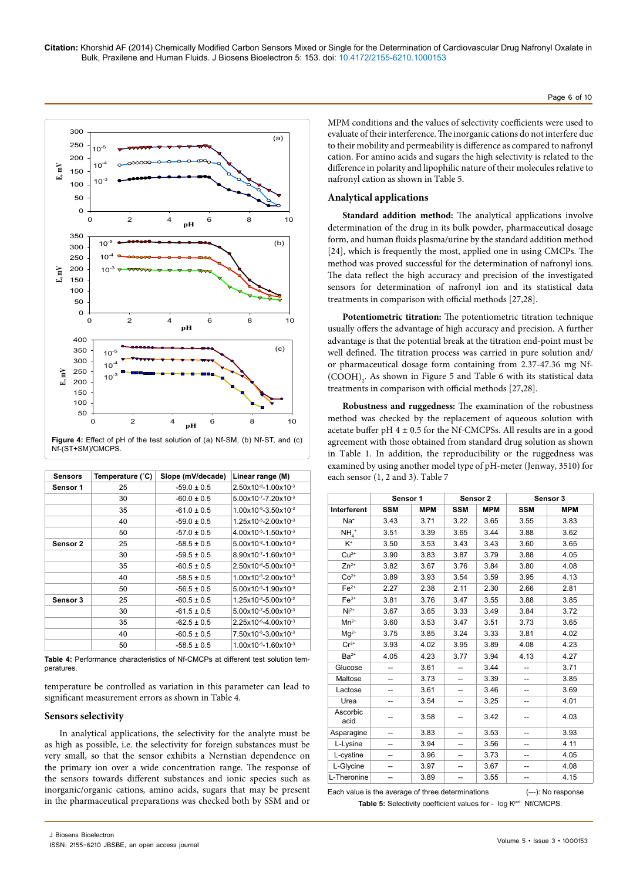

| <b>Sensors</b> | Temperature (°C) | Slope (mV/decade) | Linear range (M)                            |
|----------------|------------------|-------------------|---------------------------------------------|
| Sensor 1       | 25               | $-59.0 \pm 0.5$   | $2.50x10^{-8}-1.00x10^{-3}$                 |
|                | 30               | $-60.0 \pm 0.5$   | 5.00x10-7-7.20x10-3                         |
|                | 35               | $-61.0 \pm 0.5$   | $1.00x10^{-6} - 3.50x10^{-3}$               |
|                | 40               | $-59.0 \pm 0.5$   | $1.25x10^{-5} - 2.00x10^{-3}$               |
|                | 50               | $-57.0 \pm 0.5$   | $4.00x10^{-5} - 1.50x10^{-3}$               |
| Sensor 2       | 25               | $-58.5 \pm 0.5$   | $5.00x10^{-8} - 1.00x10^{-3}$               |
|                | 30               | $-59.5 \pm 0.5$   | $8.90x10^{-7} - 1.60x10^{-3}$               |
|                | 35               | $-60.5 \pm 0.5$   | $2.50x10^{-6} - 5.00x10^{-3}$               |
|                | 40               | $-58.5 \pm 0.5$   | 1.00x10-5-2.00x10-3                         |
|                | 50               | $-56.5 \pm 0.5$   | $5.00x10^{-5} - 1.90x10^{-3}$               |
| Sensor 3       | 25               | $-60.5 \pm 0.5$   | $1.25x10^{-8}-5.00x10^{-2}$                 |
|                | 30               | $-61.5 \pm 0.5$   | $5.00x10^{-7} - 5.00x10^{-3}$               |
|                | 35               | $-62.5 \pm 0.5$   | $2.25x10^{-6} - 4.00x10^{-3}$               |
|                | 40               | $-60.5 \pm 0.5$   | $7.50 \times 10^{-6} - 3.00 \times 10^{-3}$ |
|                | 50               | $-58.5 \pm 0.5$   | $1.00x10^{-5} - 1.60x10^{-3}$               |

**Figure 4:** Effect of pH of the test solution of (a) Nf-SM, (b) Nf-ST, and (c) Nf-(ST+SM)/CMCPS.

temperature be controlled as variation in this parameter can lead to significant measurement errors as shown in Table 4.

## **Sensors selectivity**

In analytical applications, the selectivity for the analyte must be as high as possible, i.e. the selectivity for foreign substances must be very small, so that the sensor exhibits a Nernstian dependence on the primary ion over a wide concentration range. The response of the sensors towards different substances and ionic species such as inorganic/organic cations, amino acids, sugars that may be present in the pharmaceutical preparations was checked both by SSM and or

MPM conditions and the values of selectivity coefficients were used to evaluate of their interference. The inorganic cations do not interfere due to their mobility and permeability is difference as compared to nafronyl cation. For amino acids and sugars the high selectivity is related to the difference in polarity and lipophilic nature of their molecules relative to nafronyl cation as shown in Table 5.

## **Analytical applications**

**Standard addition method:** The analytical applications involve determination of the drug in its bulk powder, pharmaceutical dosage form, and human fluids plasma/urine by the standard addition method [24], which is frequently the most, applied one in using CMCPs. The method was proved successful for the determination of nafronyl ions. The data reflect the high accuracy and precision of the investigated sensors for determination of nafronyl ion and its statistical data treatments in comparison with official methods [27,28].

**Potentiometric titration:** The potentiometric titration technique usually offers the advantage of high accuracy and precision. A further advantage is that the potential break at the titration end-point must be well defined. The titration process was carried in pure solution and/ or pharmaceutical dosage form containing from 2.37-47.36 mg Nf-  $(COOH)$ <sub>2</sub>. As shown in Figure 5 and Table 6 with its statistical data treatments in comparison with official methods [27,28].

**Robustness and ruggedness:** The examination of the robustness method was checked by the replacement of aqueous solution with acetate buffer pH  $4 \pm 0.5$  for the Nf-CMCPSs. All results are in a good agreement with those obtained from standard drug solution as shown in Table 1. In addition, the reproducibility or the ruggedness was examined by using another model type of pH-meter (Jenway, 3510) for each sensor (1, 2 and 3). Table 7

|                    | Sensor 1   |            |            | Sensor <sub>2</sub> |            | Sensor 3   |
|--------------------|------------|------------|------------|---------------------|------------|------------|
| Interferent        | <b>SSM</b> | <b>MPM</b> | <b>SSM</b> | <b>MPM</b>          | <b>SSM</b> | <b>MPM</b> |
| Na <sup>+</sup>    | 3.43       | 3.71       | 3.22       | 3.65                | 3.55       | 3.83       |
| $NHa$ <sup>+</sup> | 3.51       | 3.39       | 3.65       | 3.44                | 3.88       | 3.62       |
| $K^+$              | 3.50       | 3.53       | 3.43       | 3.43                | 3.60       | 3.65       |
| $Cu2+$             | 3.90       | 3.83       | 3.87       | 3.79                | 3.88       | 4.05       |
| $Zn^{2+}$          | 3.82       | 3.67       | 3.76       | 3.84                | 3.80       | 4.08       |
| $Co2+$             | 3.89       | 3.93       | 3.54       | 3.59                | 3.95       | 4.13       |
| $Fe2+$             | 2.27       | 2.38       | 2.11       | 2.30                | 2.66       | 2.81       |
| $Fe3+$             | 3.81       | 3.76       | 3.47       | 3.55                | 3.88       | 3.85       |
| $Ni2+$             | 3.67       | 3.65       | 3.33       | 3.49                | 3.84       | 3.72       |
| $Mn^{2+}$          | 3.60       | 3.53       | 3.47       | 3.51                | 3.73       | 3.65       |
| $Mg^{2+}$          | 3.75       | 3.85       | 3.24       | 3.33                | 3.81       | 4.02       |
| $Cr^{3+}$          | 3.93       | 4.02       | 3.95       | 3.89                | 4.08       | 4.23       |
| $Ba2+$             | 4.05       | 4.23       | 3.77       | 3.94                | 4.13       | 4.27       |
| Glucose            |            | 3.61       | --         | 3.44                |            | 3.71       |
| Maltose            |            | 3.73       | --         | 3.39                |            | 3.85       |
| Lactose            | --         | 3.61       | --         | 3.46                | --         | 3.69       |
| Urea               | --         | 3.54       | --         | 3.25                | --         | 4.01       |
| Ascorbic<br>acid   |            | 3.58       | --         | 3.42                |            | 4.03       |
| Asparagine         | --         | 3.83       | --         | 3.53                | --         | 3.93       |
| L-Lysine           |            | 3.94       | --         | 3.56                |            | 4.11       |
| L-cystine          |            | 3.96       | --         | 3.73                |            | 4.05       |
| L-Glycine          |            | 3.97       | --         | 3.67                |            | 4.08       |
| L-Theronine        |            | 3.89       | --         | 3.55                | --         | 4.15       |

Each value is the average of three determinations (---): No response Table 5: Selectivity coefficient values for - log Kpot Nf/CMCPS.

Page 6 of 10

**Table 4:** Performance characteristics of Nf-CMCPs at different test solution temperatures.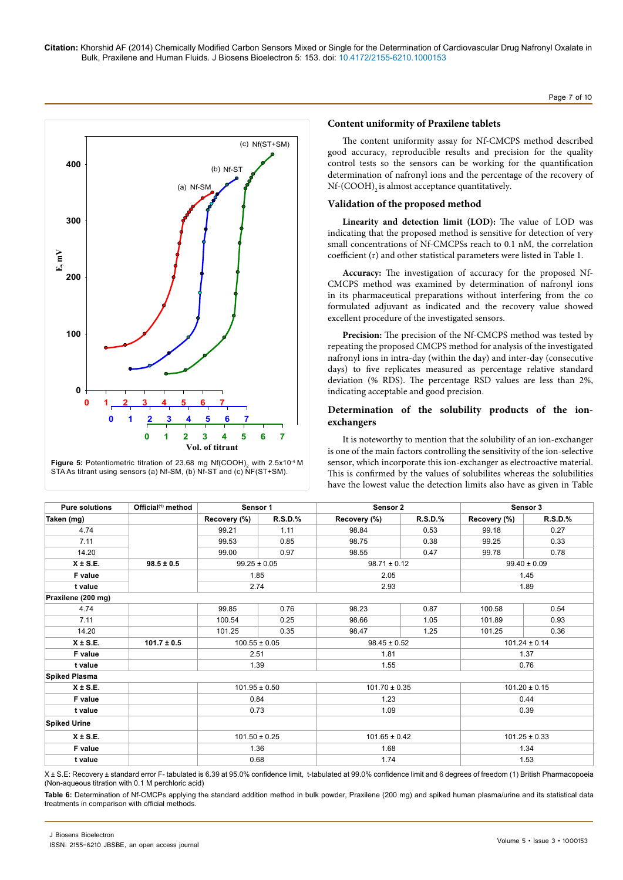Page 7 of 10





# **Content uniformity of Praxilene tablets**

The content uniformity assay for Nf-CMCPS method described good accuracy, reproducible results and precision for the quality control tests so the sensors can be working for the quantification determination of nafronyl ions and the percentage of the recovery of Nf-(COOH)<sub>2</sub> is almost acceptance quantitatively.

## **Validation of the proposed method**

**Linearity and detection limit (LOD):** The value of LOD was indicating that the proposed method is sensitive for detection of very small concentrations of Nf-CMCPSs reach to 0.1 nM, the correlation coefficient (r) and other statistical parameters were listed in Table 1.

**Accuracy:** The investigation of accuracy for the proposed Nf-CMCPS method was examined by determination of nafronyl ions in its pharmaceutical preparations without interfering from the co formulated adjuvant as indicated and the recovery value showed excellent procedure of the investigated sensors.

**Precision:** The precision of the Nf-CMCPS method was tested by repeating the proposed CMCPS method for analysis of the investigated nafronyl ions in intra-day (within the day) and inter-day (consecutive days) to five replicates measured as percentage relative standard deviation (% RDS). The percentage RSD values are less than 2%, indicating acceptable and good precision.

# **Determination of the solubility products of the ionexchangers**

It is noteworthy to mention that the solubility of an ion-exchanger is one of the main factors controlling the sensitivity of the ion-selective sensor, which incorporate this ion-exchanger as electroactive material. This is confirmed by the values of solubilites whereas the solubilities have the lowest value the detection limits also have as given in Table

| <b>Pure solutions</b> | Official <sup>(1)</sup> method | Sensor 1          |                | Sensor 2          |                |                   | Sensor 3       |  |
|-----------------------|--------------------------------|-------------------|----------------|-------------------|----------------|-------------------|----------------|--|
| Taken (mg)            |                                | Recovery (%)      | <b>R.S.D.%</b> | Recovery (%)      | <b>R.S.D.%</b> | Recovery (%)      | <b>R.S.D.%</b> |  |
| 4.74                  |                                | 99.21             | 1.11           | 98.84             | 0.53           | 99.18             | 0.27           |  |
| 7.11                  |                                | 99.53             | 0.85           | 98.75             | 0.38           | 99.25             | 0.33           |  |
| 14.20                 |                                | 99.00             | 0.97           | 98.55             | 0.47           | 99.78             | 0.78           |  |
| $X \pm S.E.$          | $98.5 \pm 0.5$                 | $99.25 \pm 0.05$  |                | $98.71 \pm 0.12$  |                | $99.40 \pm 0.09$  |                |  |
| F value               |                                | 1.85              |                | 2.05              |                | 1.45              |                |  |
| t value               |                                | 2.74              |                | 2.93              |                | 1.89              |                |  |
| Praxilene (200 mg)    |                                |                   |                |                   |                |                   |                |  |
| 4.74                  |                                | 99.85             | 0.76           | 98.23             | 0.87           | 100.58            | 0.54           |  |
| 7.11                  |                                | 100.54            | 0.25           | 98.66             | 1.05           | 101.89            | 0.93           |  |
| 14.20                 |                                | 101.25            | 0.35           | 98.47             | 1.25           | 101.25            | 0.36           |  |
| $X \pm S.E.$          | $101.7 \pm 0.5$                | $100.55 \pm 0.05$ |                | $98.45 \pm 0.52$  |                | $101.24 \pm 0.14$ |                |  |
| F value               |                                | 2.51              |                | 1.81              |                | 1.37              |                |  |
| t value               |                                | 1.39              |                | 1.55              |                | 0.76              |                |  |
| <b>Spiked Plasma</b>  |                                |                   |                |                   |                |                   |                |  |
| $X \pm S.E.$          |                                | $101.95 \pm 0.50$ |                | $101.70 \pm 0.35$ |                | $101.20 \pm 0.15$ |                |  |
| F value               |                                | 0.84              |                | 1.23              |                | 0.44              |                |  |
| t value               |                                | 0.73              |                | 1.09              |                | 0.39              |                |  |
| <b>Spiked Urine</b>   |                                |                   |                |                   |                |                   |                |  |
| $X \pm S.E.$          |                                | $101.50 \pm 0.25$ |                | $101.65 \pm 0.42$ |                | $101.25 \pm 0.33$ |                |  |
| F value               |                                | 1.36              |                | 1.68              |                | 1.34              |                |  |
| t value               |                                | 0.68              |                | 1.74              |                | 1.53              |                |  |

X ± S.E: Recovery ± standard error F- tabulated is 6.39 at 95.0% confidence limit, t-tabulated at 99.0% confidence limit and 6 degrees of freedom (1) British Pharmacopoeia (Non-aqueous titration with 0.1 M perchloric acid)

**Table 6:** Determination of Nf-CMCPs applying the standard addition method in bulk powder, Praxilene (200 mg) and spiked human plasma/urine and its statistical data treatments in comparison with official methods.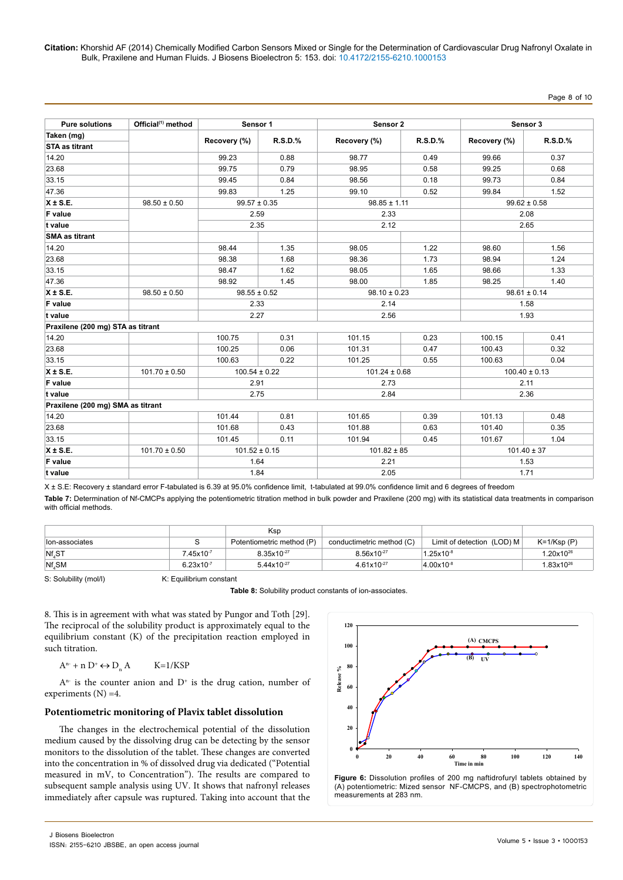#### Page 8 of 10

| <b>Pure solutions</b>             | Official <sup>(1)</sup> method | Sensor 1          |            | Sensor <sub>2</sub> |            |                   | Sensor 3   |  |
|-----------------------------------|--------------------------------|-------------------|------------|---------------------|------------|-------------------|------------|--|
| Taken (mg)                        |                                | Recovery (%)      | $R.S.D.$ % | Recovery (%)        | $R.S.D.$ % | Recovery (%)      | $R.S.D.$ % |  |
| <b>STA as titrant</b>             |                                |                   |            |                     |            |                   |            |  |
| 14.20                             |                                | 99.23             | 0.88       | 98.77               | 0.49       | 99.66             | 0.37       |  |
| 23.68                             |                                | 99.75             | 0.79       | 98.95               | 0.58       | 99.25             | 0.68       |  |
| 33.15                             |                                | 99.45             | 0.84       | 98.56               | 0.18       | 99.73             | 0.84       |  |
| 47.36                             |                                | 99.83             | 1.25       | 99.10               | 0.52       | 99.84             | 1.52       |  |
| $X \pm S.E.$                      | $98.50 \pm 0.50$               | $99.57 \pm 0.35$  |            | $98.85 \pm 1.11$    |            | $99.62 \pm 0.58$  |            |  |
| F value                           |                                | 2.59              |            | 2.33                |            | 2.08              |            |  |
| t value                           |                                | 2.35              |            | 2.12                |            | 2.65              |            |  |
| <b>SMA as titrant</b>             |                                |                   |            |                     |            |                   |            |  |
| 14.20                             |                                | 98.44             | 1.35       | 98.05               | 1.22       | 98.60             | 1.56       |  |
| 23.68                             |                                | 98.38             | 1.68       | 98.36               | 1.73       | 98.94             | 1.24       |  |
| 33.15                             |                                | 98.47             | 1.62       | 98.05               | 1.65       | 98.66             | 1.33       |  |
| 47.36                             |                                | 98.92             | 1.45       | 98.00               | 1.85       | 98.25             | 1.40       |  |
| $X \pm S.E.$                      | $98.50 \pm 0.50$               | $98.55 \pm 0.52$  |            | $98.10 \pm 0.23$    |            | $98.61 \pm 0.14$  |            |  |
| F value                           |                                | 2.33              |            | 2.14                |            |                   | 1.58       |  |
| t value                           |                                | 2.27              |            | 2.56                |            | 1.93              |            |  |
| Praxilene (200 mg) STA as titrant |                                |                   |            |                     |            |                   |            |  |
| 14.20                             |                                | 100.75            | 0.31       | 101.15              | 0.23       | 100.15            | 0.41       |  |
| 23.68                             |                                | 100.25            | 0.06       | 101.31              | 0.47       | 100.43            | 0.32       |  |
| 33.15                             |                                | 100.63            | 0.22       | 101.25              | 0.55       | 100.63            | 0.04       |  |
| $X \pm S.E.$                      | $101.70 \pm 0.50$              | $100.54 \pm 0.22$ |            | $101.24 \pm 0.68$   |            | $100.40 \pm 0.13$ |            |  |
| <b>F</b> value                    |                                | 2.91              |            | 2.73                |            | 2.11              |            |  |
| t value                           |                                | 2.75              |            | 2.84                |            | 2.36              |            |  |
| Praxilene (200 mg) SMA as titrant |                                |                   |            |                     |            |                   |            |  |
| 14.20                             |                                | 101.44            | 0.81       | 101.65              | 0.39       | 101.13            | 0.48       |  |
| 23.68                             |                                | 101.68            | 0.43       | 101.88              | 0.63       | 101.40            | 0.35       |  |
| 33.15                             |                                | 101.45            | 0.11       | 101.94              | 0.45       | 101.67            | 1.04       |  |
| $X \pm S.E.$                      | $101.70 \pm 0.50$              | $101.52 \pm 0.15$ |            | $101.82 \pm 85$     |            | $101.40 \pm 37$   |            |  |
| <b>F</b> value                    |                                | 1.64              |            | 2.21                |            | 1.53              |            |  |
| t value                           |                                | 1.84              |            | 2.05                |            | 1.71              |            |  |

X ± S.E: Recovery ± standard error F-tabulated is 6.39 at 95.0% confidence limit, t-tabulated at 99.0% confidence limit and 6 degrees of freedom

**Table 7:** Determination of Nf-CMCPs applying the potentiometric titration method in bulk powder and Praxilene (200 mg) with its statistical data treatments in comparison with official methods.

|                    |                     | Ksp                       |                           |                              |                       |
|--------------------|---------------------|---------------------------|---------------------------|------------------------------|-----------------------|
| llon-associates    |                     | Potentiometric method (P) | conductimetric method (C) | Limit of detection $(LOD)$ M | $K=1/Ksp(P)$          |
| Nf <sub>4</sub> ST | $7.45\times10^{-7}$ | 8.35x10-27                | $8.56x10^{-27}$           | $1.25$ x10 <sup>-8</sup>     | $1.20x10^{26}$        |
| $Nf$ , SM          | $6.23x10^{-7}$      | 5.44x10-27                | $4.61x10^{-27}$           | $4.00\times10^{-8}$          | 1.83x10 <sup>26</sup> |

S: Solubility (mol/l) K: Equilibrium constant

**Table 8:** Solubility product constants of ion-associates.

8. This is in agreement with what was stated by Pungor and Toth [29]. The reciprocal of the solubility product is approximately equal to the equilibrium constant (K) of the precipitation reaction employed in such titration.

$$
A^{n-} + n D^{+} \leftrightarrow D_n A \qquad K=1/KSP
$$

 $A^{n-}$  is the counter anion and  $D^+$  is the drug cation, number of experiments  $(N) = 4$ .

#### **Potentiometric monitoring of Plavix tablet dissolution**

The changes in the electrochemical potential of the dissolution medium caused by the dissolving drug can be detecting by the sensor monitors to the dissolution of the tablet. These changes are converted into the concentration in % of dissolved drug via dedicated ("Potential measured in mV, to Concentration"). The results are compared to subsequent sample analysis using UV. It shows that nafronyl releases immediately after capsule was ruptured. Taking into account that the



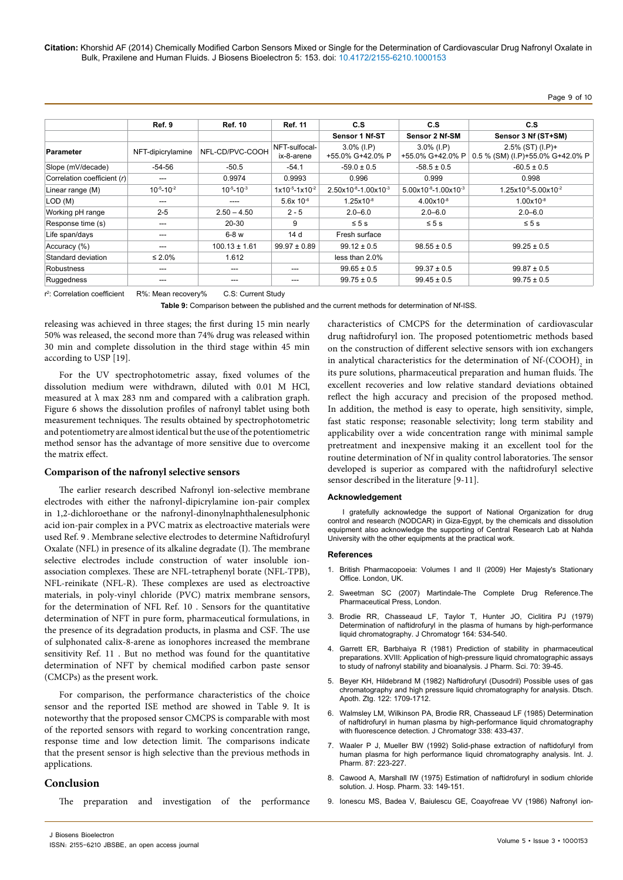Page 9 of 10

|                             | Ref. 9              | <b>Ref. 10</b>      | <b>Ref. 11</b>              | C.S                               | C.S                               | C.S                                                     |
|-----------------------------|---------------------|---------------------|-----------------------------|-----------------------------------|-----------------------------------|---------------------------------------------------------|
|                             |                     |                     |                             | Sensor 1 Nf-ST                    | Sensor 2 Nf-SM                    | Sensor 3 Nf (ST+SM)                                     |
| <b>Parameter</b>            | NFT-dipicrylamine   | NFL-CD/PVC-COOH     | NFT-sulfocal-<br>ix-8-arene | $3.0\%$ (I.P)<br>+55.0% G+42.0% P | $3.0\%$ (I.P)<br>+55.0% G+42.0% P | $2.5\%$ (ST) (I.P)+<br>0.5 % (SM) (I.P)+55.0% G+42.0% P |
| Slope (mV/decade)           | $-54-56$            | $-50.5$             | $-54.1$                     | $-59.0 \pm 0.5$                   | $-58.5 \pm 0.5$                   | $-60.5 \pm 0.5$                                         |
| Correlation coefficient (r) | ---                 | 0.9974              | 0.9993                      | 0.996                             | 0.999                             | 0.998                                                   |
| Linear range (M)            | $10^{-5} - 10^{-2}$ | $10^{-5} - 10^{-3}$ | $1x10^{-5} - 1x10^{-2}$     | $2.50x10^{-8} - 1.00x10^{-3}$     | $5.00x10^{-8} - 1.00x10^{-3}$     | $1.25x10^{-8}-5.00x10^{-2}$                             |
| LOD (M)                     | ---                 | ----                | $5.6x$ 10 $-6$              | $1.25x10^{-8}$                    | $4.00x10^{-8}$                    | $1.00 \times 10^{-8}$                                   |
| Working pH range            | $2 - 5$             | $2.50 - 4.50$       | $2 - 5$                     | $2.0 - 6.0$                       | $2.0 - 6.0$                       | $2.0 - 6.0$                                             |
| Response time (s)           | ---                 | $20 - 30$           | 9                           | $\leq 5$ s                        | $\leq 5$ s                        | $\leq 5$ s                                              |
| Life span/days              |                     | $6-8$ w             | 14 d                        | Fresh surface                     |                                   |                                                         |
| Accuracy (%)                | ---                 | $100.13 \pm 1.61$   | $99.97 \pm 0.89$            | $99.12 \pm 0.5$                   | $98.55 \pm 0.5$                   | $99.25 \pm 0.5$                                         |
| Standard deviation          | $\leq 2.0\%$        | 1.612               |                             | less than 2.0%                    |                                   |                                                         |
| Robustness                  | ---                 | $- - -$             |                             | $99.65 \pm 0.5$                   | $99.37 \pm 0.5$                   | $99.87 \pm 0.5$                                         |
| Ruggedness                  | ---                 |                     | ---                         | $99.75 \pm 0.5$                   | $99.45 \pm 0.5$                   | $99.75 \pm 0.5$                                         |

r 2 : Correlation coefficient R%: Mean recovery% C.S: Current Study

**Table 9:** Comparison between the published and the current methods for determination of Nf-ISS.

releasing was achieved in three stages; the first during 15 min nearly 50% was released, the second more than 74% drug was released within 30 min and complete dissolution in the third stage within 45 min according to USP [19].

For the UV spectrophotometric assay, fixed volumes of the dissolution medium were withdrawn, diluted with 0.01 M HCl, measured at  $\lambda$  max 283 nm and compared with a calibration graph. Figure 6 shows the dissolution profiles of nafronyl tablet using both measurement techniques. The results obtained by spectrophotometric and potentiometry are almost identical but the use of the potentiometric method sensor has the advantage of more sensitive due to overcome the matrix effect.

#### **Comparison of the nafronyl selective sensors**

The earlier research described Nafronyl ion-selective membrane electrodes with either the nafronyl-dipicrylamine ion-pair complex in 1,2-dichloroethane or the nafronyl-dinonylnaphthalenesulphonic acid ion-pair complex in a PVC matrix as electroactive materials were used Ref. 9 . Membrane selective electrodes to determine Naftidrofuryl Oxalate (NFL) in presence of its alkaline degradate (I). The membrane selective electrodes include construction of water insoluble ionassociation complexes. These are NFL-tetraphenyl borate (NFL-TPB), NFL-reinikate (NFL-R). These complexes are used as electroactive materials, in poly-vinyl chloride (PVC) matrix membrane sensors, for the determination of NFL Ref. 10 . Sensors for the quantitative determination of NFT in pure form, pharmaceutical formulations, in the presence of its degradation products, in plasma and CSF. The use of sulphonated calix‐8‐arene as ionophores increased the membrane sensitivity Ref. 11 . But no method was found for the quantitative determination of NFT by chemical modified carbon paste sensor (CMCPs) as the present work.

For comparison, the performance characteristics of the choice sensor and the reported ISE method are showed in Table 9. It is noteworthy that the proposed sensor CMCPS is comparable with most of the reported sensors with regard to working concentration range, response time and low detection limit. The comparisons indicate that the present sensor is high selective than the previous methods in applications.

# **Conclusion**

The preparation and investigation of the performance

characteristics of CMCPS for the determination of cardiovascular drug naftidrofuryl ion. The proposed potentiometric methods based on the construction of different selective sensors with ion exchangers in analytical characteristics for the determination of  $\mathrm{Nf}\text{-}\mathrm{(COOH)}_{2}$  in its pure solutions, pharmaceutical preparation and human fluids. The excellent recoveries and low relative standard deviations obtained reflect the high accuracy and precision of the proposed method. In addition, the method is easy to operate, high sensitivity, simple, fast static response; reasonable selectivity; long term stability and applicability over a wide concentration range with minimal sample pretreatment and inexpensive making it an excellent tool for the routine determination of Nf in quality control laboratories. The sensor developed is superior as compared with the naftidrofuryl selective sensor described in the literature [9-11].

#### **Acknowledgement**

I gratefully acknowledge the support of National Organization for drug control and research (NODCAR) in Giza-Egypt, by the chemicals and dissolution equipment also acknowledge the supporting of Central Research Lab at Nahda University with the other equipments at the practical work.

#### **References**

- 1. British Pharmacopoeia: Volumes I and II (2009) Her Majesty's Stationary Office. London, UK.
- 2. Sweetman SC (2007) Martindale-The Complete Drug Reference.The Pharmaceutical Press, London.
- 3. [Brodie RR, Chasseaud LF, Taylor T, Hunter JO, Ciclitira PJ \(1979\)](http://www.ncbi.nlm.nih.gov/pubmed/541432)  [Determination of naftidrofuryl in the plasma of humans by high-performance](http://www.ncbi.nlm.nih.gov/pubmed/541432)  [liquid chromatography. J Chromatogr 164: 534-540.](http://www.ncbi.nlm.nih.gov/pubmed/541432)
- 4. [Garrett ER, Barbhaiya R \(1981\) Prediction of stability in pharmaceutical](http://www.google.co.in/url?sa=t&rct=j&q=&esrc=s&source=web&cd=1&ved=0CBsQFjAA&url=http%3A%2F%2Fwww.ncbi.nlm.nih.gov%2Fpubmed%2F7229928&ei=6fezU9GDJNiWuATFx4HYAw&usg=AFQjCNGwKFWlfA8Zi3gFeZ8G7cQlIBzBSQ&bvm=bv.70138588,d.c2E&cad=rja)  [preparations. XVIII: Application of high-pressure liquid chromatographic assays](http://www.google.co.in/url?sa=t&rct=j&q=&esrc=s&source=web&cd=1&ved=0CBsQFjAA&url=http%3A%2F%2Fwww.ncbi.nlm.nih.gov%2Fpubmed%2F7229928&ei=6fezU9GDJNiWuATFx4HYAw&usg=AFQjCNGwKFWlfA8Zi3gFeZ8G7cQlIBzBSQ&bvm=bv.70138588,d.c2E&cad=rja)  [to study of nafronyl stability and bioanalysis. J Pharm. Sci. 70: 39-45.](http://www.google.co.in/url?sa=t&rct=j&q=&esrc=s&source=web&cd=1&ved=0CBsQFjAA&url=http%3A%2F%2Fwww.ncbi.nlm.nih.gov%2Fpubmed%2F7229928&ei=6fezU9GDJNiWuATFx4HYAw&usg=AFQjCNGwKFWlfA8Zi3gFeZ8G7cQlIBzBSQ&bvm=bv.70138588,d.c2E&cad=rja)
- 5. [Beyer KH, Hildebrand M \(1982\) Naftidrofuryl \(Dusodril\) Possible uses of gas](http://www.google.co.in/url?sa=t&rct=j&q=&esrc=s&source=web&cd=1&ved=0CB0QFjAA&url=http%3A%2F%2Fwww.ncbi.nlm.nih.gov%2Fpmc%2Farticles%2FPMC3614792%2F&ei=R_izU6PMJIjIuATuqoGoAw&usg=AFQjCNHsWRJSWboe_QEpH4DAMJ35We8DjQ&bvm=bv.70138588,d.c2E&cad=rja)  [chromatography and high pressure liquid chromatography for analysis. Dtsch.](http://www.google.co.in/url?sa=t&rct=j&q=&esrc=s&source=web&cd=1&ved=0CB0QFjAA&url=http%3A%2F%2Fwww.ncbi.nlm.nih.gov%2Fpmc%2Farticles%2FPMC3614792%2F&ei=R_izU6PMJIjIuATuqoGoAw&usg=AFQjCNHsWRJSWboe_QEpH4DAMJ35We8DjQ&bvm=bv.70138588,d.c2E&cad=rja)  [Apoth. Ztg. 122: 1709-1712](http://www.google.co.in/url?sa=t&rct=j&q=&esrc=s&source=web&cd=1&ved=0CB0QFjAA&url=http%3A%2F%2Fwww.ncbi.nlm.nih.gov%2Fpmc%2Farticles%2FPMC3614792%2F&ei=R_izU6PMJIjIuATuqoGoAw&usg=AFQjCNHsWRJSWboe_QEpH4DAMJ35We8DjQ&bvm=bv.70138588,d.c2E&cad=rja).
- 6. [Walmsley LM, Wilkinson PA, Brodie RR, Chasseaud LF \(1985\) Determination](http://www.ncbi.nlm.nih.gov/pubmed/3998029)  [of naftidrofuryl in human plasma by high-performance liquid chromatography](http://www.ncbi.nlm.nih.gov/pubmed/3998029)  [with fluorescence detection. J Chromatogr 338: 433-437.](http://www.ncbi.nlm.nih.gov/pubmed/3998029)
- 7. Waaler P J, Mueller BW (1992) Solid-phase extraction of naftidofuryl from human plasma for high performance liquid chromatography analysis. Int. J. Pharm. 87: 223-227.
- 8. Cawood A, Marshall IW (1975) Estimation of naftidrofuryl in sodium chloride solution. J. Hosp. Pharm. 33: 149-151.
- 9. [Ionescu MS, Badea V, Baiulescu GE, Coayofreae VV \(1986\) Nafronyl ion-](http://www.ncbi.nlm.nih.gov/pubmed/18964041)